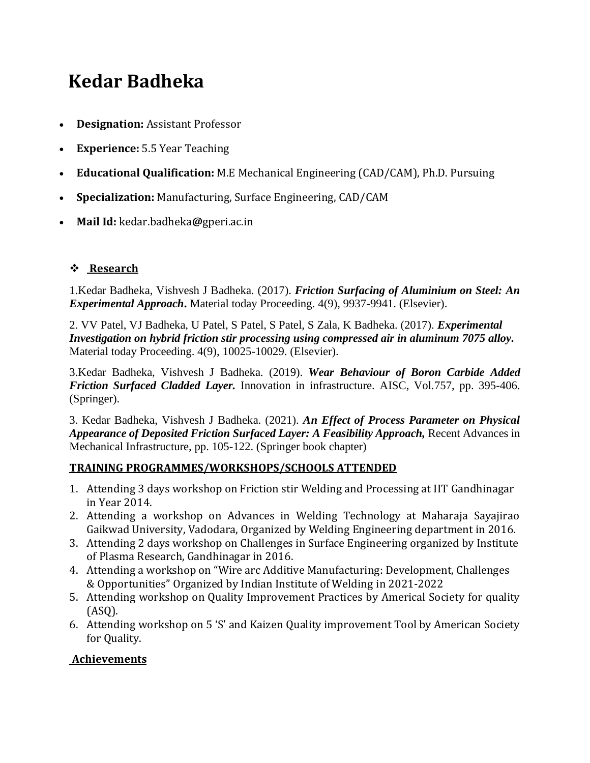## **Kedar Badheka**

- **Designation:** Assistant Professor
- **Experience:** 5.5 Year Teaching
- **Educational Qualification:** M.E Mechanical Engineering (CAD/CAM), Ph.D. Pursuing
- **Specialization:** Manufacturing, Surface Engineering, CAD/CAM
- **Mail Id:** kedar.badheka**@**gperi.ac.in

## ❖ **[Research](https://gperi.ac.in/electrical.php#mapatelOne)**

1.Kedar Badheka, Vishvesh J Badheka. (2017). *Friction Surfacing of Aluminium on Steel: An Experimental Approach***.** Material today Proceeding. 4(9), 9937-9941. (Elsevier).

2. VV Patel, VJ Badheka, U Patel, S Patel, S Patel, S Zala, K Badheka. (2017). *[Experimental](https://scholar.google.co.in/citations?view_op=view_citation&hl=en&user=K89nH38AAAAJ&citation_for_view=K89nH38AAAAJ:eQOLeE2rZwMC)  [Investigation on hybrid friction stir processing using compressed air in aluminum 7075 alloy.](https://scholar.google.co.in/citations?view_op=view_citation&hl=en&user=K89nH38AAAAJ&citation_for_view=K89nH38AAAAJ:eQOLeE2rZwMC)*  Material today Proceeding. 4(9), 10025-10029. (Elsevier).

3.Kedar Badheka, Vishvesh J Badheka. (2019). *Wear Behaviour of Boron Carbide Added Friction Surfaced Cladded Layer.* Innovation in infrastructure. AISC, Vol.757, pp. 395-406. (Springer).

3. Kedar Badheka, Vishvesh J Badheka. (2021). *An Effect of Process Parameter on Physical Appearance of Deposited Friction Surfaced Layer: A Feasibility Approach, Recent Advances in* Mechanical Infrastructure, pp. 105-122. (Springer book chapter)

## **TRAINING PROGRAMMES/WORKSHOPS/SCHOOLS ATTENDED**

- 1. Attending 3 days workshop on Friction stir Welding and Processing at IIT Gandhinagar in Year 2014.
- 2. Attending a workshop on Advances in Welding Technology at Maharaja Sayajirao Gaikwad University, Vadodara, Organized by Welding Engineering department in 2016.
- 3. Attending 2 days workshop on Challenges in Surface Engineering organized by Institute of Plasma Research, Gandhinagar in 2016.
- 4. Attending a workshop on "Wire arc Additive Manufacturing: Development, Challenges & Opportunities" Organized by Indian Institute of Welding in 2021-2022
- 5. Attending workshop on Quality Improvement Practices by Americal Society for quality (ASQ).
- 6. Attending workshop on 5 'S' and Kaizen Quality improvement Tool by American Society for Quality.

## **[Achievements](https://gperi.ac.in/electrical.php#mapatelThree)**